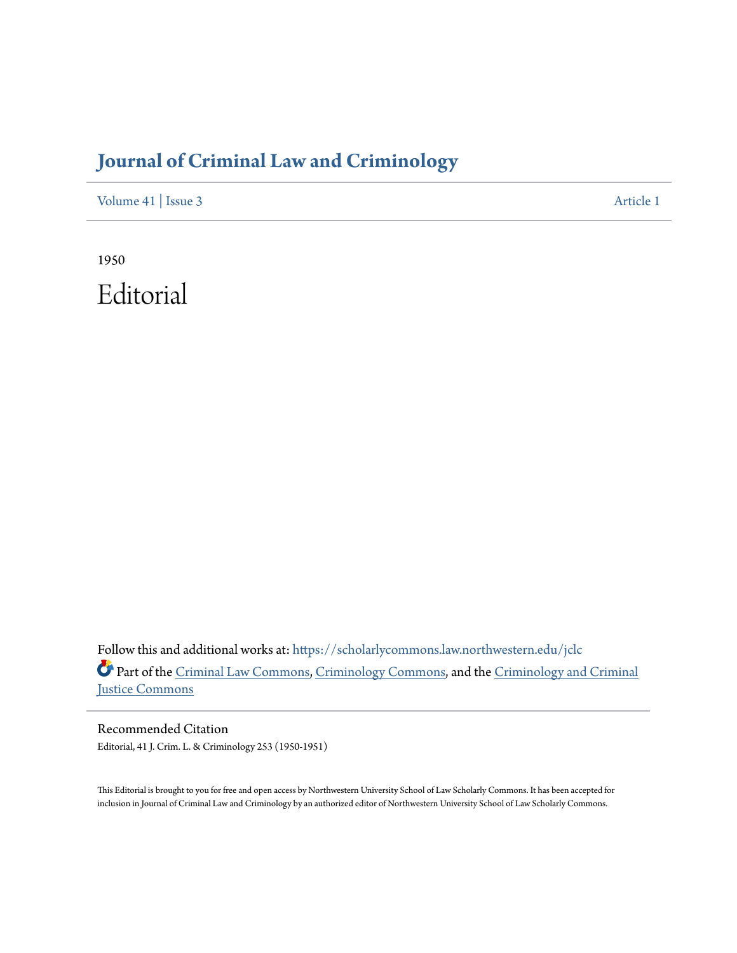## **[Journal of Criminal Law and Criminology](https://scholarlycommons.law.northwestern.edu/jclc?utm_source=scholarlycommons.law.northwestern.edu%2Fjclc%2Fvol41%2Fiss3%2F1&utm_medium=PDF&utm_campaign=PDFCoverPages)**

[Volume 41](https://scholarlycommons.law.northwestern.edu/jclc/vol41?utm_source=scholarlycommons.law.northwestern.edu%2Fjclc%2Fvol41%2Fiss3%2F1&utm_medium=PDF&utm_campaign=PDFCoverPages) | [Issue 3](https://scholarlycommons.law.northwestern.edu/jclc/vol41/iss3?utm_source=scholarlycommons.law.northwestern.edu%2Fjclc%2Fvol41%2Fiss3%2F1&utm_medium=PDF&utm_campaign=PDFCoverPages) [Article 1](https://scholarlycommons.law.northwestern.edu/jclc/vol41/iss3/1?utm_source=scholarlycommons.law.northwestern.edu%2Fjclc%2Fvol41%2Fiss3%2F1&utm_medium=PDF&utm_campaign=PDFCoverPages)

1950 Editorial

Follow this and additional works at: [https://scholarlycommons.law.northwestern.edu/jclc](https://scholarlycommons.law.northwestern.edu/jclc?utm_source=scholarlycommons.law.northwestern.edu%2Fjclc%2Fvol41%2Fiss3%2F1&utm_medium=PDF&utm_campaign=PDFCoverPages) Part of the [Criminal Law Commons](http://network.bepress.com/hgg/discipline/912?utm_source=scholarlycommons.law.northwestern.edu%2Fjclc%2Fvol41%2Fiss3%2F1&utm_medium=PDF&utm_campaign=PDFCoverPages), [Criminology Commons](http://network.bepress.com/hgg/discipline/417?utm_source=scholarlycommons.law.northwestern.edu%2Fjclc%2Fvol41%2Fiss3%2F1&utm_medium=PDF&utm_campaign=PDFCoverPages), and the [Criminology and Criminal](http://network.bepress.com/hgg/discipline/367?utm_source=scholarlycommons.law.northwestern.edu%2Fjclc%2Fvol41%2Fiss3%2F1&utm_medium=PDF&utm_campaign=PDFCoverPages) [Justice Commons](http://network.bepress.com/hgg/discipline/367?utm_source=scholarlycommons.law.northwestern.edu%2Fjclc%2Fvol41%2Fiss3%2F1&utm_medium=PDF&utm_campaign=PDFCoverPages)

Recommended Citation Editorial, 41 J. Crim. L. & Criminology 253 (1950-1951)

This Editorial is brought to you for free and open access by Northwestern University School of Law Scholarly Commons. It has been accepted for inclusion in Journal of Criminal Law and Criminology by an authorized editor of Northwestern University School of Law Scholarly Commons.